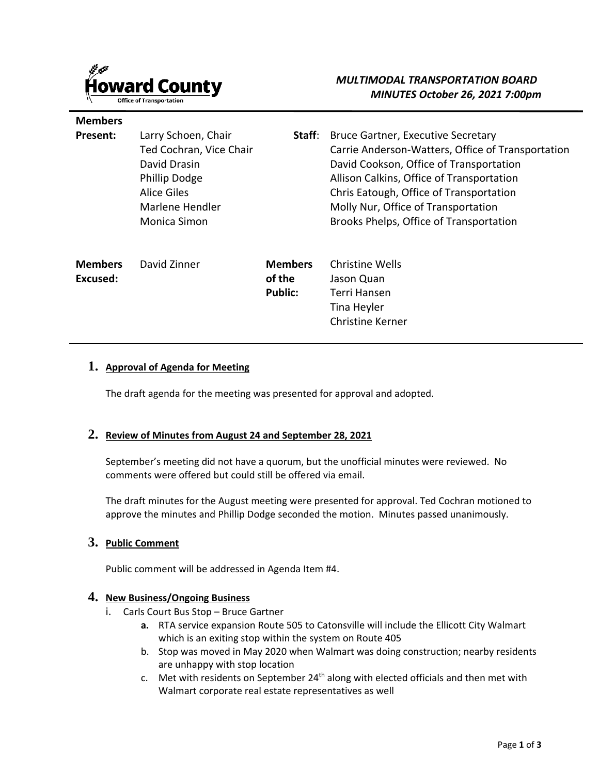

**Members** 

## *MULTIMODAL TRANSPORTATION BOARD MINUTES October 26, 2021 7:00pm*

| Present:       | Larry Schoen, Chair<br>Ted Cochran, Vice Chair<br>David Drasin<br>Phillip Dodge<br>Alice Giles<br>Marlene Hendler<br><b>Monica Simon</b> | Staff:         | <b>Bruce Gartner, Executive Secretary</b><br>Carrie Anderson-Watters, Office of Transportation<br>David Cookson, Office of Transportation<br>Allison Calkins, Office of Transportation<br>Chris Eatough, Office of Transportation<br>Molly Nur, Office of Transportation<br>Brooks Phelps, Office of Transportation |
|----------------|------------------------------------------------------------------------------------------------------------------------------------------|----------------|---------------------------------------------------------------------------------------------------------------------------------------------------------------------------------------------------------------------------------------------------------------------------------------------------------------------|
| <b>Members</b> | David Zinner                                                                                                                             | <b>Members</b> | Christine Wells                                                                                                                                                                                                                                                                                                     |
| Excused:       |                                                                                                                                          | of the         | Jason Quan                                                                                                                                                                                                                                                                                                          |

Terri Hansen Tina Heyler Christine Kerner

### **1. Approval of Agenda for Meeting**

The draft agenda for the meeting was presented for approval and adopted.

**Public:**

### **2. Review of Minutes from August 24 and September 28, 2021**

September's meeting did not have a quorum, but the unofficial minutes were reviewed. No comments were offered but could still be offered via email.

The draft minutes for the August meeting were presented for approval. Ted Cochran motioned to approve the minutes and Phillip Dodge seconded the motion. Minutes passed unanimously.

### **3. Public Comment**

Public comment will be addressed in Agenda Item #4.

#### **4. New Business/Ongoing Business**

- i. Carls Court Bus Stop Bruce Gartner
	- **a.** RTA service expansion Route 505 to Catonsville will include the Ellicott City Walmart which is an exiting stop within the system on Route 405
	- b. Stop was moved in May 2020 when Walmart was doing construction; nearby residents are unhappy with stop location
	- c. Met with residents on September 24<sup>th</sup> along with elected officials and then met with Walmart corporate real estate representatives as well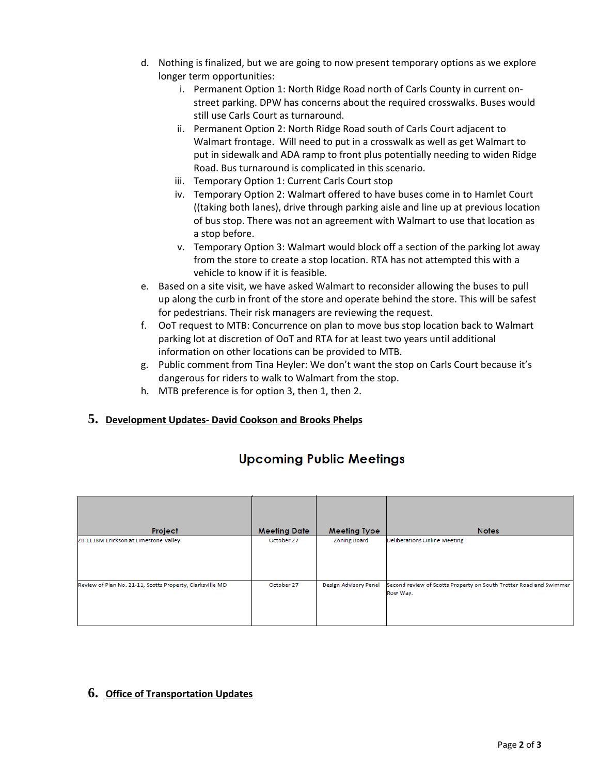- d. Nothing is finalized, but we are going to now present temporary options as we explore longer term opportunities:
	- i. Permanent Option 1: North Ridge Road north of Carls County in current onstreet parking. DPW has concerns about the required crosswalks. Buses would still use Carls Court as turnaround.
	- ii. Permanent Option 2: North Ridge Road south of Carls Court adjacent to Walmart frontage. Will need to put in a crosswalk as well as get Walmart to put in sidewalk and ADA ramp to front plus potentially needing to widen Ridge Road. Bus turnaround is complicated in this scenario.
	- iii. Temporary Option 1: Current Carls Court stop
	- iv. Temporary Option 2: Walmart offered to have buses come in to Hamlet Court ((taking both lanes), drive through parking aisle and line up at previous location of bus stop. There was not an agreement with Walmart to use that location as a stop before.
	- v. Temporary Option 3: Walmart would block off a section of the parking lot away from the store to create a stop location. RTA has not attempted this with a vehicle to know if it is feasible.
- e. Based on a site visit, we have asked Walmart to reconsider allowing the buses to pull up along the curb in front of the store and operate behind the store. This will be safest for pedestrians. Their risk managers are reviewing the request.
- f. OoT request to MTB: Concurrence on plan to move bus stop location back to Walmart parking lot at discretion of OoT and RTA for at least two years until additional information on other locations can be provided to MTB.
- g. Public comment from Tina Heyler: We don't want the stop on Carls Court because it's dangerous for riders to walk to Walmart from the stop.
- h. MTB preference is for option 3, then 1, then 2.

### **5. Development Updates- David Cookson and Brooks Phelps**

| Project                                                   | <b>Meeting Date</b> | <b>Meeting Type</b>          | <b>Notes</b>                                                                   |
|-----------------------------------------------------------|---------------------|------------------------------|--------------------------------------------------------------------------------|
| ZB 1118M Erickson at Limestone Valley                     | October 27          | <b>Zoning Board</b>          | <b>Deliberations Online Meeting</b>                                            |
| Review of Plan No. 21-11, Scotts Property, Clarksville MD | October 27          | <b>Design Advisory Panel</b> | Second review of Scotts Property on South Trotter Road and Swimmer<br>Row Way. |

# **Upcoming Public Meetings**

### **6. Office of Transportation Updates**